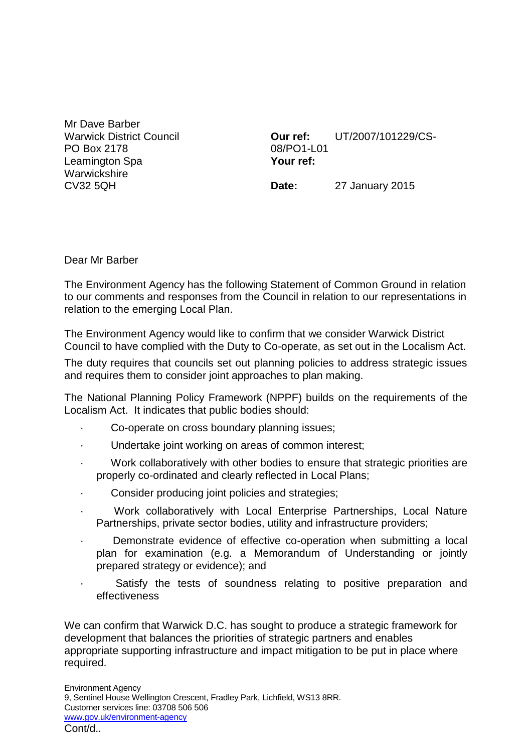Mr Dave Barber Warwick District Council PO Box 2178 Leamington Spa **Warwickshire** CV32 5QH

**Our ref:** UT/2007/101229/CS-08/PO1-L01 **Your ref:**

**Date:** 27 January 2015

Dear Mr Barber

The Environment Agency has the following Statement of Common Ground in relation to our comments and responses from the Council in relation to our representations in relation to the emerging Local Plan.

The Environment Agency would like to confirm that we consider Warwick District Council to have complied with the Duty to Co-operate, as set out in the Localism Act.

The duty requires that councils set out planning policies to address strategic issues and requires them to consider joint approaches to plan making.

The National Planning Policy Framework (NPPF) builds on the requirements of the Localism Act. It indicates that public bodies should:

- · Co-operate on cross boundary planning issues;
- Undertake joint working on areas of common interest;
- Work collaboratively with other bodies to ensure that strategic priorities are properly co-ordinated and clearly reflected in Local Plans;
- Consider producing joint policies and strategies;
- · Work collaboratively with Local Enterprise Partnerships, Local Nature Partnerships, private sector bodies, utility and infrastructure providers;
- Demonstrate evidence of effective co-operation when submitting a local plan for examination (e.g. a Memorandum of Understanding or jointly prepared strategy or evidence); and
	- Satisfy the tests of soundness relating to positive preparation and effectiveness

We can confirm that Warwick D.C. has sought to produce a strategic framework for development that balances the priorities of strategic partners and enables appropriate supporting infrastructure and impact mitigation to be put in place where required.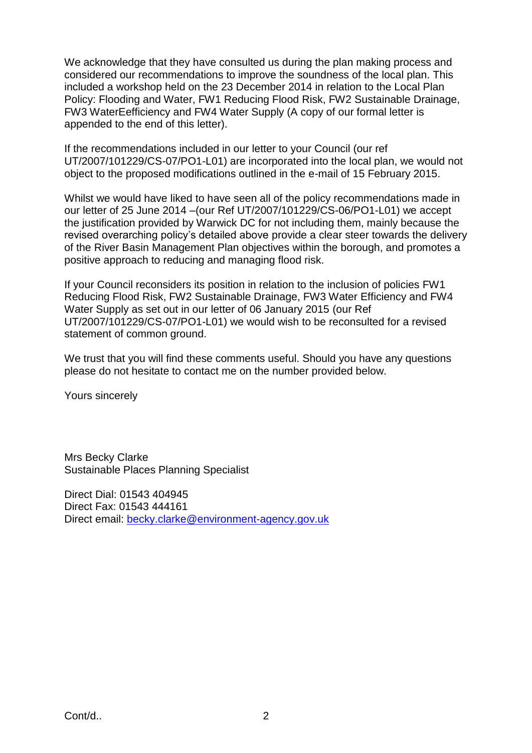We acknowledge that they have consulted us during the plan making process and considered our recommendations to improve the soundness of the local plan. This included a workshop held on the 23 December 2014 in relation to the Local Plan Policy: Flooding and Water, FW1 Reducing Flood Risk, FW2 Sustainable Drainage, FW3 WaterEefficiency and FW4 Water Supply (A copy of our formal letter is appended to the end of this letter).

If the recommendations included in our letter to your Council (our ref UT/2007/101229/CS-07/PO1-L01) are incorporated into the local plan, we would not object to the proposed modifications outlined in the e-mail of 15 February 2015.

Whilst we would have liked to have seen all of the policy recommendations made in our letter of 25 June 2014 –(our Ref UT/2007/101229/CS-06/PO1-L01) we accept the justification provided by Warwick DC for not including them, mainly because the revised overarching policy's detailed above provide a clear steer towards the delivery of the River Basin Management Plan objectives within the borough, and promotes a positive approach to reducing and managing flood risk.

If your Council reconsiders its position in relation to the inclusion of policies FW1 Reducing Flood Risk, FW2 Sustainable Drainage, FW3 Water Efficiency and FW4 Water Supply as set out in our letter of 06 January 2015 (our Ref UT/2007/101229/CS-07/PO1-L01) we would wish to be reconsulted for a revised statement of common ground.

We trust that you will find these comments useful. Should you have any questions please do not hesitate to contact me on the number provided below.

Yours sincerely

Mrs Becky Clarke Sustainable Places Planning Specialist

Direct Dial: 01543 404945 Direct Fax: 01543 444161 Direct email: [becky.clarke@environment-agency.gov.uk](mailto:becky.clarke@environment-agency.gov.uk)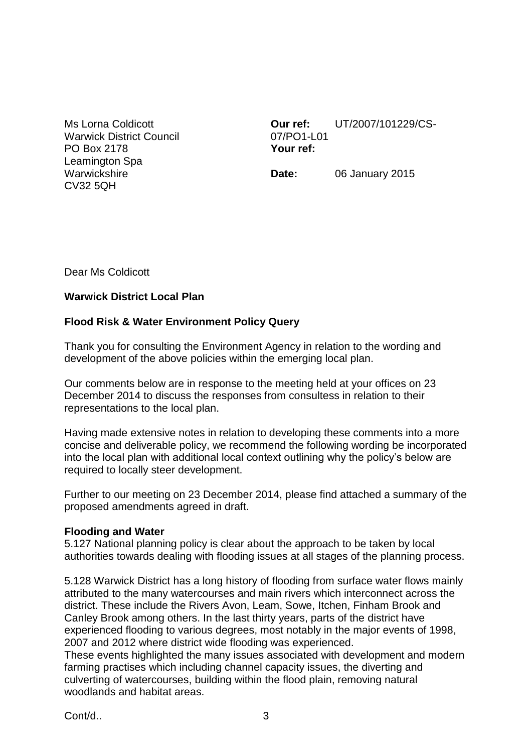Ms Lorna Coldicott Warwick District Council PO Box 2178 Leamington Spa **Warwickshire** CV32 5QH

**Our ref:** UT/2007/101229/CS-07/PO1-L01 **Your ref:**

**Date:** 06 January 2015

Dear Ms Coldicott

## **Warwick District Local Plan**

# **Flood Risk & Water Environment Policy Query**

Thank you for consulting the Environment Agency in relation to the wording and development of the above policies within the emerging local plan.

Our comments below are in response to the meeting held at your offices on 23 December 2014 to discuss the responses from consultess in relation to their representations to the local plan.

Having made extensive notes in relation to developing these comments into a more concise and deliverable policy, we recommend the following wording be incorporated into the local plan with additional local context outlining why the policy's below are required to locally steer development.

Further to our meeting on 23 December 2014, please find attached a summary of the proposed amendments agreed in draft.

## **Flooding and Water**

5.127 National planning policy is clear about the approach to be taken by local authorities towards dealing with flooding issues at all stages of the planning process.

5.128 Warwick District has a long history of flooding from surface water flows mainly attributed to the many watercourses and main rivers which interconnect across the district. These include the Rivers Avon, Leam, Sowe, Itchen, Finham Brook and Canley Brook among others. In the last thirty years, parts of the district have experienced flooding to various degrees, most notably in the major events of 1998, 2007 and 2012 where district wide flooding was experienced.

These events highlighted the many issues associated with development and modern farming practises which including channel capacity issues, the diverting and culverting of watercourses, building within the flood plain, removing natural woodlands and habitat areas.

Cont/d.. 3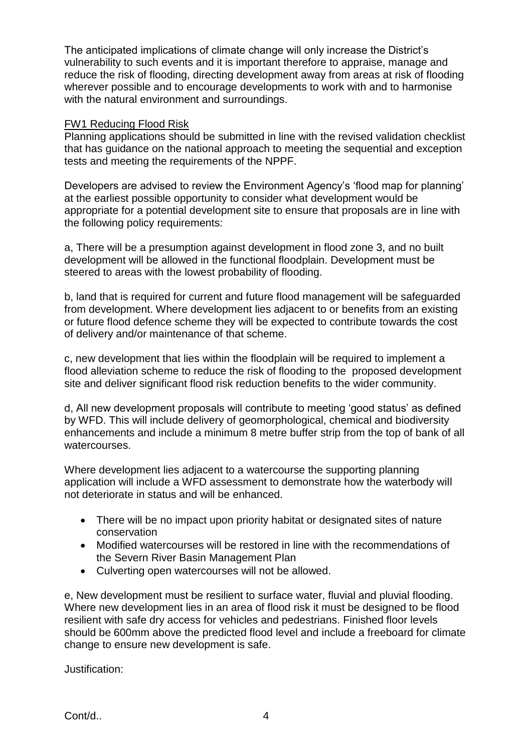The anticipated implications of climate change will only increase the District's vulnerability to such events and it is important therefore to appraise, manage and reduce the risk of flooding, directing development away from areas at risk of flooding wherever possible and to encourage developments to work with and to harmonise with the natural environment and surroundings.

### FW1 Reducing Flood Risk

Planning applications should be submitted in line with the revised validation checklist that has guidance on the national approach to meeting the sequential and exception tests and meeting the requirements of the NPPF.

Developers are advised to review the Environment Agency's 'flood map for planning' at the earliest possible opportunity to consider what development would be appropriate for a potential development site to ensure that proposals are in line with the following policy requirements:

a, There will be a presumption against development in flood zone 3, and no built development will be allowed in the functional floodplain. Development must be steered to areas with the lowest probability of flooding.

b, land that is required for current and future flood management will be safeguarded from development. Where development lies adjacent to or benefits from an existing or future flood defence scheme they will be expected to contribute towards the cost of delivery and/or maintenance of that scheme.

c, new development that lies within the floodplain will be required to implement a flood alleviation scheme to reduce the risk of flooding to the proposed development site and deliver significant flood risk reduction benefits to the wider community.

d, All new development proposals will contribute to meeting 'good status' as defined by WFD. This will include delivery of geomorphological, chemical and biodiversity enhancements and include a minimum 8 metre buffer strip from the top of bank of all watercourses.

Where development lies adjacent to a watercourse the supporting planning application will include a WFD assessment to demonstrate how the waterbody will not deteriorate in status and will be enhanced.

- There will be no impact upon priority habitat or designated sites of nature conservation
- Modified watercourses will be restored in line with the recommendations of the Severn River Basin Management Plan
- Culverting open watercourses will not be allowed.

e, New development must be resilient to surface water, fluvial and pluvial flooding. Where new development lies in an area of flood risk it must be designed to be flood resilient with safe dry access for vehicles and pedestrians. Finished floor levels should be 600mm above the predicted flood level and include a freeboard for climate change to ensure new development is safe.

Justification: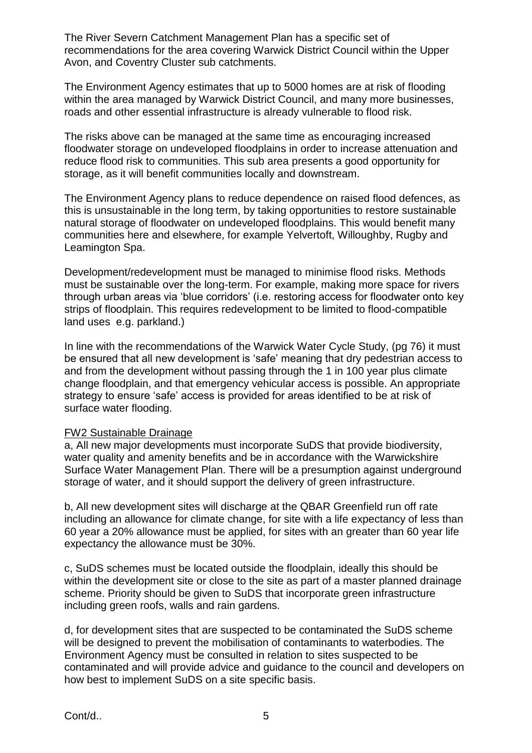The River Severn Catchment Management Plan has a specific set of recommendations for the area covering Warwick District Council within the Upper Avon, and Coventry Cluster sub catchments.

The Environment Agency estimates that up to 5000 homes are at risk of flooding within the area managed by Warwick District Council, and many more businesses, roads and other essential infrastructure is already vulnerable to flood risk.

The risks above can be managed at the same time as encouraging increased floodwater storage on undeveloped floodplains in order to increase attenuation and reduce flood risk to communities. This sub area presents a good opportunity for storage, as it will benefit communities locally and downstream.

The Environment Agency plans to reduce dependence on raised flood defences, as this is unsustainable in the long term, by taking opportunities to restore sustainable natural storage of floodwater on undeveloped floodplains. This would benefit many communities here and elsewhere, for example Yelvertoft, Willoughby, Rugby and Leamington Spa.

Development/redevelopment must be managed to minimise flood risks. Methods must be sustainable over the long-term. For example, making more space for rivers through urban areas via 'blue corridors' (i.e. restoring access for floodwater onto key strips of floodplain. This requires redevelopment to be limited to flood-compatible land uses e.g. parkland.)

In line with the recommendations of the Warwick Water Cycle Study, (pg 76) it must be ensured that all new development is 'safe' meaning that dry pedestrian access to and from the development without passing through the 1 in 100 year plus climate change floodplain, and that emergency vehicular access is possible. An appropriate strategy to ensure 'safe' access is provided for areas identified to be at risk of surface water flooding.

#### FW2 Sustainable Drainage

a, All new major developments must incorporate SuDS that provide biodiversity, water quality and amenity benefits and be in accordance with the Warwickshire Surface Water Management Plan. There will be a presumption against underground storage of water, and it should support the delivery of green infrastructure.

b, All new development sites will discharge at the QBAR Greenfield run off rate including an allowance for climate change, for site with a life expectancy of less than 60 year a 20% allowance must be applied, for sites with an greater than 60 year life expectancy the allowance must be 30%.

c, SuDS schemes must be located outside the floodplain, ideally this should be within the development site or close to the site as part of a master planned drainage scheme. Priority should be given to SuDS that incorporate green infrastructure including green roofs, walls and rain gardens.

d, for development sites that are suspected to be contaminated the SuDS scheme will be designed to prevent the mobilisation of contaminants to waterbodies. The Environment Agency must be consulted in relation to sites suspected to be contaminated and will provide advice and guidance to the council and developers on how best to implement SuDS on a site specific basis.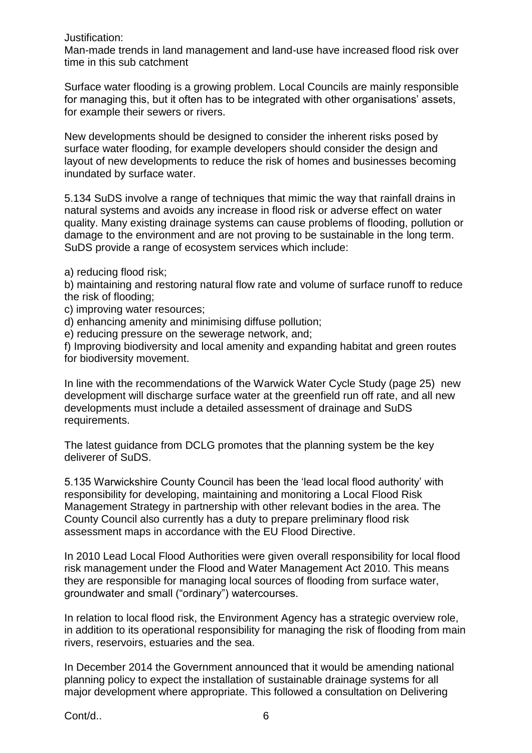Justification:

Man-made trends in land management and land-use have increased flood risk over time in this sub catchment

Surface water flooding is a growing problem. Local Councils are mainly responsible for managing this, but it often has to be integrated with other organisations' assets, for example their sewers or rivers.

New developments should be designed to consider the inherent risks posed by surface water flooding, for example developers should consider the design and layout of new developments to reduce the risk of homes and businesses becoming inundated by surface water.

5.134 SuDS involve a range of techniques that mimic the way that rainfall drains in natural systems and avoids any increase in flood risk or adverse effect on water quality. Many existing drainage systems can cause problems of flooding, pollution or damage to the environment and are not proving to be sustainable in the long term. SuDS provide a range of ecosystem services which include:

a) reducing flood risk;

b) maintaining and restoring natural flow rate and volume of surface runoff to reduce the risk of flooding;

c) improving water resources;

d) enhancing amenity and minimising diffuse pollution;

e) reducing pressure on the sewerage network, and;

f) Improving biodiversity and local amenity and expanding habitat and green routes for biodiversity movement.

In line with the recommendations of the Warwick Water Cycle Study (page 25) new development will discharge surface water at the greenfield run off rate, and all new developments must include a detailed assessment of drainage and SuDS requirements.

The latest guidance from DCLG promotes that the planning system be the key deliverer of SuDS.

5.135 Warwickshire County Council has been the 'lead local flood authority' with responsibility for developing, maintaining and monitoring a Local Flood Risk Management Strategy in partnership with other relevant bodies in the area. The County Council also currently has a duty to prepare preliminary flood risk assessment maps in accordance with the EU Flood Directive.

In 2010 Lead Local Flood Authorities were given overall responsibility for local flood risk management under the Flood and Water Management Act 2010. This means they are responsible for managing local sources of flooding from surface water, groundwater and small ("ordinary") watercourses.

In relation to local flood risk, the Environment Agency has a strategic overview role, in addition to its operational responsibility for managing the risk of flooding from main rivers, reservoirs, estuaries and the sea.

In December 2014 the Government announced that it would be amending national planning policy to expect the installation of sustainable drainage systems for all major development where appropriate. This followed a consultation on Delivering

Cont/d.. 6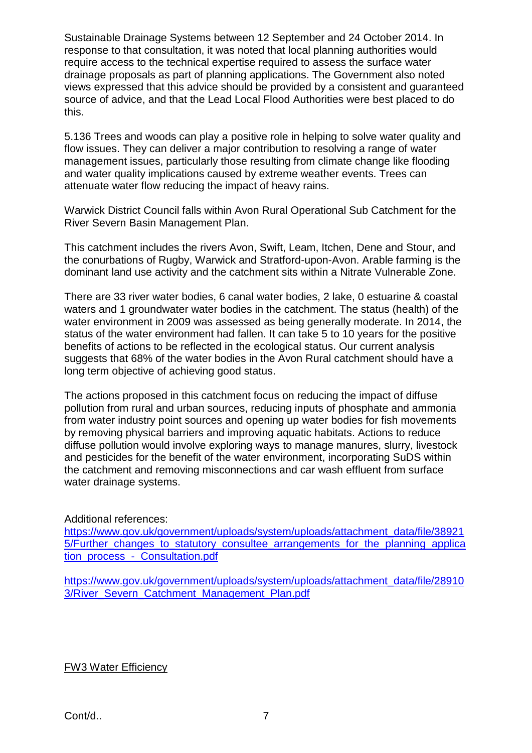Sustainable Drainage Systems between 12 September and 24 October 2014. In response to that consultation, it was noted that local planning authorities would require access to the technical expertise required to assess the surface water drainage proposals as part of planning applications. The Government also noted views expressed that this advice should be provided by a consistent and guaranteed source of advice, and that the Lead Local Flood Authorities were best placed to do this.

5.136 Trees and woods can play a positive role in helping to solve water quality and flow issues. They can deliver a major contribution to resolving a range of water management issues, particularly those resulting from climate change like flooding and water quality implications caused by extreme weather events. Trees can attenuate water flow reducing the impact of heavy rains.

Warwick District Council falls within Avon Rural Operational Sub Catchment for the River Severn Basin Management Plan.

This catchment includes the rivers Avon, Swift, Leam, Itchen, Dene and Stour, and the conurbations of Rugby, Warwick and Stratford-upon-Avon. Arable farming is the dominant land use activity and the catchment sits within a Nitrate Vulnerable Zone.

There are 33 river water bodies, 6 canal water bodies, 2 lake, 0 estuarine & coastal waters and 1 groundwater water bodies in the catchment. The status (health) of the water environment in 2009 was assessed as being generally moderate. In 2014, the status of the water environment had fallen. It can take 5 to 10 years for the positive benefits of actions to be reflected in the ecological status. Our current analysis suggests that 68% of the water bodies in the Avon Rural catchment should have a long term objective of achieving good status.

The actions proposed in this catchment focus on reducing the impact of diffuse pollution from rural and urban sources, reducing inputs of phosphate and ammonia from water industry point sources and opening up water bodies for fish movements by removing physical barriers and improving aquatic habitats. Actions to reduce diffuse pollution would involve exploring ways to manage manures, slurry, livestock and pesticides for the benefit of the water environment, incorporating SuDS within the catchment and removing misconnections and car wash effluent from surface water drainage systems.

Additional references:

[https://www.gov.uk/government/uploads/system/uploads/attachment\\_data/file/38921](https://www.gov.uk/government/uploads/system/uploads/attachment_data/file/389215/Further_changes_to_statutory_consultee_arrangements_for_the_planning_application_process_-_Consultation.pdf) 5/Further changes to statutory consultee arrangements for the planning applica tion\_process - Consultation.pdf

[https://www.gov.uk/government/uploads/system/uploads/attachment\\_data/file/28910](https://www.gov.uk/government/uploads/system/uploads/attachment_data/file/289103/River_Severn_Catchment_Management_Plan.pdf) 3/River Severn Catchment Management Plan.pdf

FW3 Water Efficiency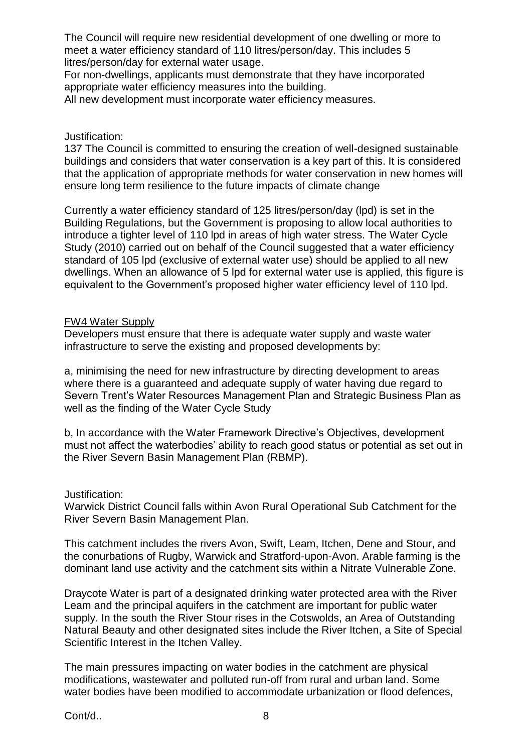The Council will require new residential development of one dwelling or more to meet a water efficiency standard of 110 litres/person/day. This includes 5 litres/person/day for external water usage.

For non-dwellings, applicants must demonstrate that they have incorporated appropriate water efficiency measures into the building.

All new development must incorporate water efficiency measures.

### Justification:

137 The Council is committed to ensuring the creation of well-designed sustainable buildings and considers that water conservation is a key part of this. It is considered that the application of appropriate methods for water conservation in new homes will ensure long term resilience to the future impacts of climate change

Currently a water efficiency standard of 125 litres/person/day (lpd) is set in the Building Regulations, but the Government is proposing to allow local authorities to introduce a tighter level of 110 lpd in areas of high water stress. The Water Cycle Study (2010) carried out on behalf of the Council suggested that a water efficiency standard of 105 lpd (exclusive of external water use) should be applied to all new dwellings. When an allowance of 5 lpd for external water use is applied, this figure is equivalent to the Government's proposed higher water efficiency level of 110 lpd.

### FW4 Water Supply

Developers must ensure that there is adequate water supply and waste water infrastructure to serve the existing and proposed developments by:

a, minimising the need for new infrastructure by directing development to areas where there is a guaranteed and adequate supply of water having due regard to Severn Trent's Water Resources Management Plan and Strategic Business Plan as well as the finding of the Water Cycle Study

b, In accordance with the Water Framework Directive's Objectives, development must not affect the waterbodies' ability to reach good status or potential as set out in the River Severn Basin Management Plan (RBMP).

#### Justification:

Warwick District Council falls within Avon Rural Operational Sub Catchment for the River Severn Basin Management Plan.

This catchment includes the rivers Avon, Swift, Leam, Itchen, Dene and Stour, and the conurbations of Rugby, Warwick and Stratford-upon-Avon. Arable farming is the dominant land use activity and the catchment sits within a Nitrate Vulnerable Zone.

Draycote Water is part of a designated drinking water protected area with the River Leam and the principal aquifers in the catchment are important for public water supply. In the south the River Stour rises in the Cotswolds, an Area of Outstanding Natural Beauty and other designated sites include the River Itchen, a Site of Special Scientific Interest in the Itchen Valley.

The main pressures impacting on water bodies in the catchment are physical modifications, wastewater and polluted run-off from rural and urban land. Some water bodies have been modified to accommodate urbanization or flood defences,